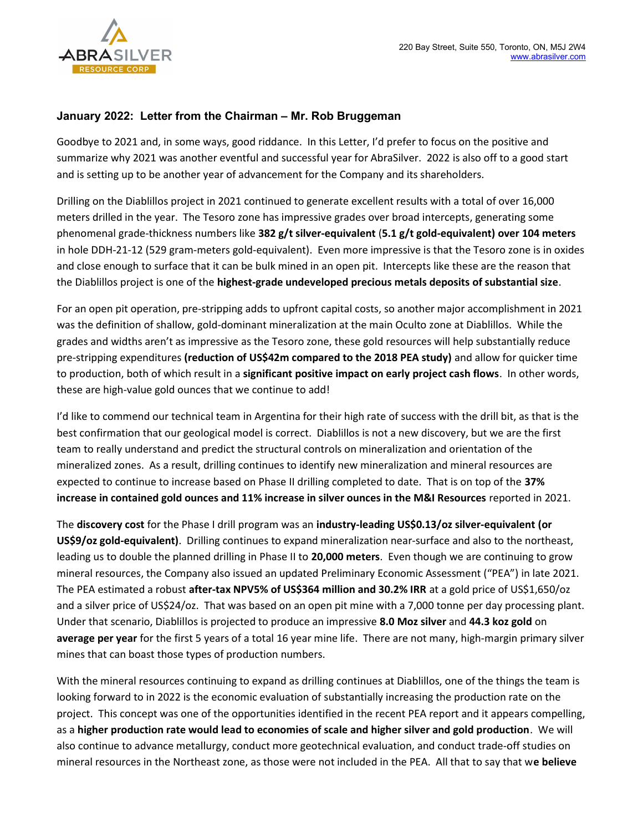

## January 2022: Letter from the Chairman – Mr. Rob Bruggeman

Goodbye to 2021 and, in some ways, good riddance. In this Letter, I'd prefer to focus on the positive and summarize why 2021 was another eventful and successful year for AbraSilver. 2022 is also off to a good start and is setting up to be another year of advancement for the Company and its shareholders.

Drilling on the Diablillos project in 2021 continued to generate excellent results with a total of over 16,000 meters drilled in the year. The Tesoro zone has impressive grades over broad intercepts, generating some phenomenal grade-thickness numbers like 382 g/t silver-equivalent (5.1 g/t gold-equivalent) over 104 meters in hole DDH-21-12 (529 gram-meters gold-equivalent). Even more impressive is that the Tesoro zone is in oxides and close enough to surface that it can be bulk mined in an open pit. Intercepts like these are the reason that the Diablillos project is one of the highest-grade undeveloped precious metals deposits of substantial size.

For an open pit operation, pre-stripping adds to upfront capital costs, so another major accomplishment in 2021 was the definition of shallow, gold-dominant mineralization at the main Oculto zone at Diablillos. While the grades and widths aren't as impressive as the Tesoro zone, these gold resources will help substantially reduce pre-stripping expenditures (reduction of US\$42m compared to the 2018 PEA study) and allow for quicker time to production, both of which result in a significant positive impact on early project cash flows. In other words, these are high-value gold ounces that we continue to add!

I'd like to commend our technical team in Argentina for their high rate of success with the drill bit, as that is the best confirmation that our geological model is correct. Diablillos is not a new discovery, but we are the first team to really understand and predict the structural controls on mineralization and orientation of the mineralized zones. As a result, drilling continues to identify new mineralization and mineral resources are expected to continue to increase based on Phase II drilling completed to date. That is on top of the 37% increase in contained gold ounces and 11% increase in silver ounces in the M&I Resources reported in 2021.

The discovery cost for the Phase I drill program was an industry-leading US\$0.13/oz silver-equivalent (or US\$9/oz gold-equivalent). Drilling continues to expand mineralization near-surface and also to the northeast, leading us to double the planned drilling in Phase II to 20,000 meters. Even though we are continuing to grow mineral resources, the Company also issued an updated Preliminary Economic Assessment ("PEA") in late 2021. The PEA estimated a robust after-tax NPV5% of US\$364 million and 30.2% IRR at a gold price of US\$1,650/oz and a silver price of US\$24/oz. That was based on an open pit mine with a 7,000 tonne per day processing plant. Under that scenario, Diablillos is projected to produce an impressive 8.0 Moz silver and 44.3 koz gold on average per year for the first 5 years of a total 16 year mine life. There are not many, high-margin primary silver mines that can boast those types of production numbers.

With the mineral resources continuing to expand as drilling continues at Diablillos, one of the things the team is looking forward to in 2022 is the economic evaluation of substantially increasing the production rate on the project. This concept was one of the opportunities identified in the recent PEA report and it appears compelling, as a higher production rate would lead to economies of scale and higher silver and gold production. We will also continue to advance metallurgy, conduct more geotechnical evaluation, and conduct trade-off studies on mineral resources in the Northeast zone, as those were not included in the PEA. All that to say that we believe